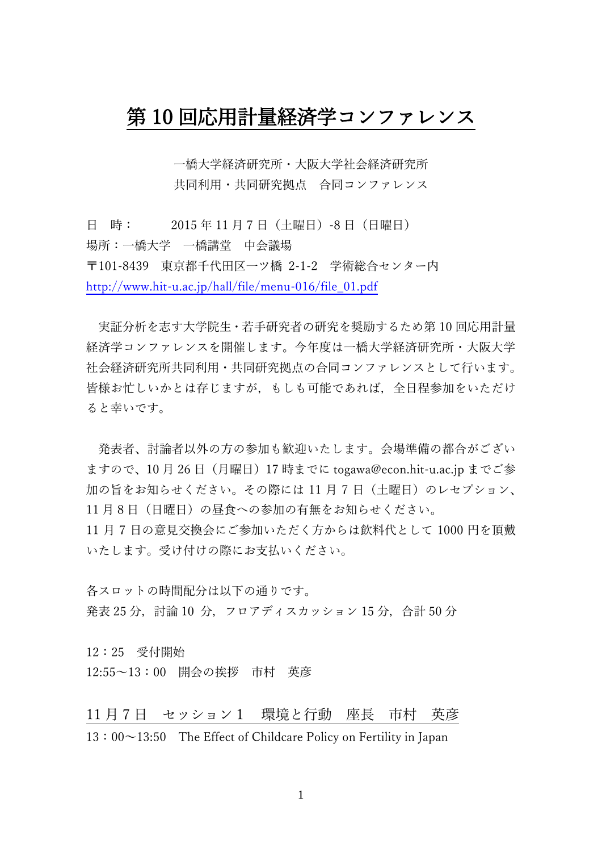## 第 10 回応用計量経済学コンファレンス

一橋大学経済研究所・大阪大学社会経済研究所 共同利用・共同研究拠点 合同コンファレンス

日 時: 2015 年 11 月 7 日(土曜日)-8 日(日曜日) 場所:一橋大学 一橋講堂 中会議場 〒101-8439 東京都千代田区一ツ橋 2-1-2 学術総合センター内 [http://www.hit-u.ac.jp/hall/file/menu-016/file\\_01.pdf](http://www.hit-u.ac.jp/hall/file/menu-016/file_01.pdf)

実証分析を志す大学院生・若手研究者の研究を奨励するため第 10 回応用計量 経済学コンファレンスを開催します。今年度は一橋大学経済研究所・大阪大学 社会経済研究所共同利用・共同研究拠点の合同コンファレンスとして行います。 皆様お忙しいかとは存じますが,もしも可能であれば,全日程参加をいただけ ると幸いです。

発表者、討論者以外の方の参加も歓迎いたします。会場準備の都合がござい ますので、10 月 26 日(月曜日)17 時までに togawa@econ.hit-u.ac.jp までご参 加の旨をお知らせください。その際には11月7日(土曜日)のレセプション、 11 月8日(日曜日)の昼食への参加の有無をお知らせください。 11 月 7 日の意見交換会にご参加いただく方からは飲料代として 1000 円を頂戴 いたします。受け付けの際にお支払いください。

各スロットの時間配分は以下の通りです。 発表 25 分, 討論 10 分, フロアディスカッション 15 分, 合計 50 分

12:25 受付開始 12:55~13:00 開会の挨拶 市村 英彦

11 月 7 日 セッション1 環境と行動 座長 市村 英彦

13:00~13:50 The Effect of Childcare Policy on Fertility in Japan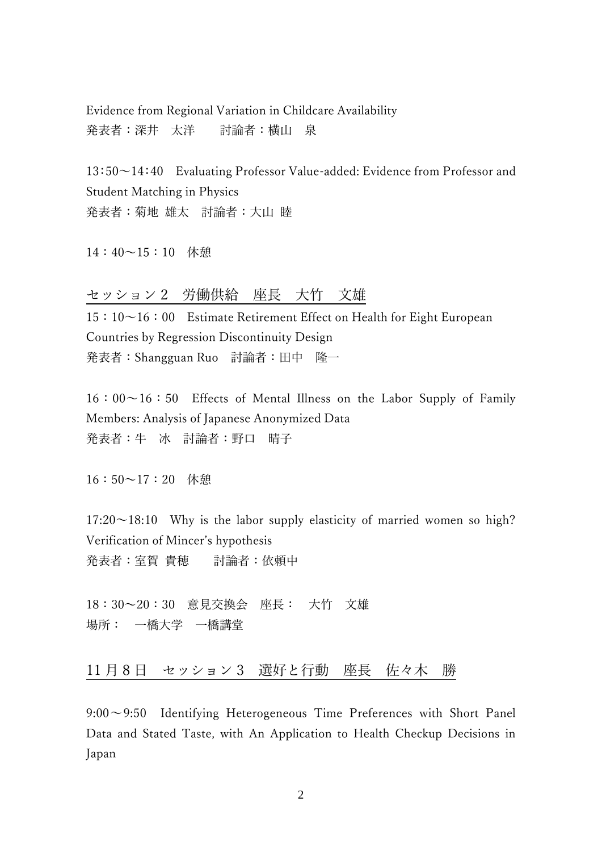Evidence from Regional Variation in Childcare Availability 発表者:深井 太洋 討論者:横山 泉

13:50~14:40 Evaluating Professor Value-added: Evidence from Professor and Student Matching in Physics 発表者:菊地 雄太 討論者:大山 睦

14:40~15:10 休憩

## セッション 2 労働供給 座長 大竹 文雄

 $15:10~16:00$  Estimate Retirement Effect on Health for Eight European Countries by Regression Discontinuity Design 発表者:Shangguan Ruo 討論者:田中 隆一

 $16:00~16:50$  Effects of Mental Illness on the Labor Supply of Family Members: Analysis of Japanese Anonymized Data 発表者:牛 冰 討論者:野口 晴子

16:50~17:20 休憩

 $17:20 \sim 18:10$  Why is the labor supply elasticity of married women so high? Verification of Mincer's hypothesis 発表者:室賀 貴穂 討論者:依頼中

18:30~20:30 意見交換会 座長: 大竹 文雄 場所: 一橋大学 一橋講堂

11 月 8 日 セッション 3 選好と行動 座長 佐々木 勝

9:00~9:50 Identifying Heterogeneous Time Preferences with Short Panel Data and Stated Taste, with An Application to Health Checkup Decisions in Japan